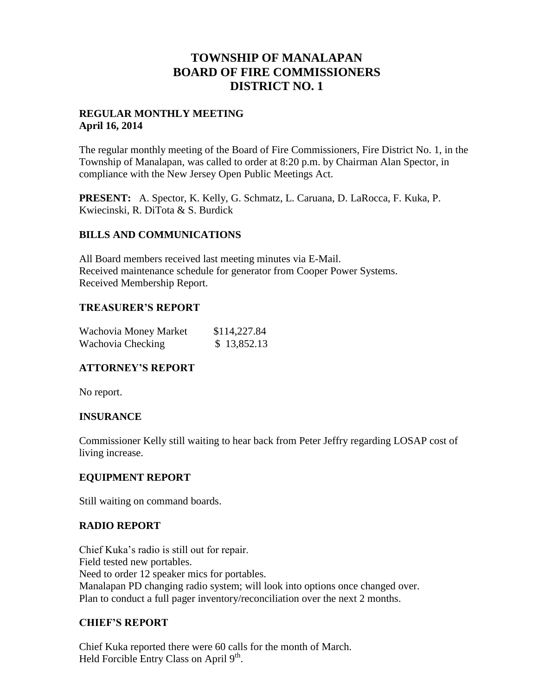# **TOWNSHIP OF MANALAPAN BOARD OF FIRE COMMISSIONERS DISTRICT NO. 1**

### **REGULAR MONTHLY MEETING April 16, 2014**

The regular monthly meeting of the Board of Fire Commissioners, Fire District No. 1, in the Township of Manalapan, was called to order at 8:20 p.m. by Chairman Alan Spector, in compliance with the New Jersey Open Public Meetings Act.

**PRESENT:** A. Spector, K. Kelly, G. Schmatz, L. Caruana, D. LaRocca, F. Kuka, P. Kwiecinski, R. DiTota & S. Burdick

### **BILLS AND COMMUNICATIONS**

All Board members received last meeting minutes via E-Mail. Received maintenance schedule for generator from Cooper Power Systems. Received Membership Report.

### **TREASURER'S REPORT**

| Wachovia Money Market | \$114,227.84 |
|-----------------------|--------------|
| Wachovia Checking     | \$13,852.13  |

## **ATTORNEY'S REPORT**

No report.

## **INSURANCE**

Commissioner Kelly still waiting to hear back from Peter Jeffry regarding LOSAP cost of living increase.

#### **EQUIPMENT REPORT**

Still waiting on command boards.

#### **RADIO REPORT**

Chief Kuka's radio is still out for repair. Field tested new portables. Need to order 12 speaker mics for portables. Manalapan PD changing radio system; will look into options once changed over. Plan to conduct a full pager inventory/reconciliation over the next 2 months.

#### **CHIEF'S REPORT**

Chief Kuka reported there were 60 calls for the month of March. Held Forcible Entry Class on April  $9<sup>th</sup>$ .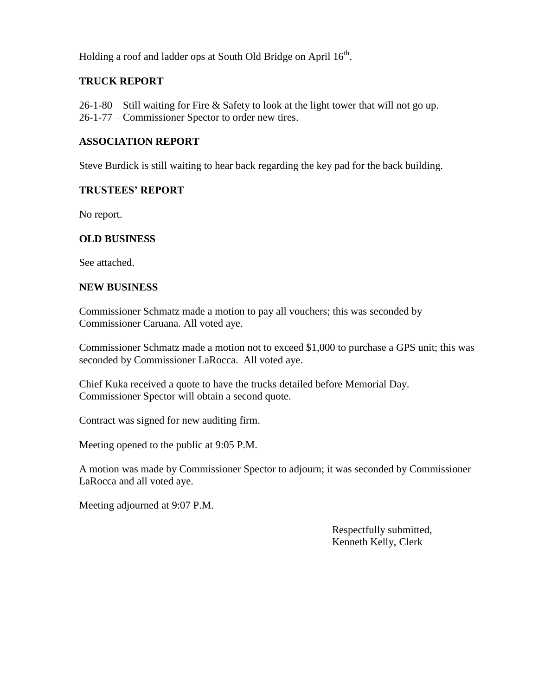Holding a roof and ladder ops at South Old Bridge on April 16<sup>th</sup>.

## **TRUCK REPORT**

26-1-80 – Still waiting for Fire & Safety to look at the light tower that will not go up. 26-1-77 – Commissioner Spector to order new tires.

#### **ASSOCIATION REPORT**

Steve Burdick is still waiting to hear back regarding the key pad for the back building.

#### **TRUSTEES' REPORT**

No report.

#### **OLD BUSINESS**

See attached.

#### **NEW BUSINESS**

Commissioner Schmatz made a motion to pay all vouchers; this was seconded by Commissioner Caruana. All voted aye.

Commissioner Schmatz made a motion not to exceed \$1,000 to purchase a GPS unit; this was seconded by Commissioner LaRocca. All voted aye.

Chief Kuka received a quote to have the trucks detailed before Memorial Day. Commissioner Spector will obtain a second quote.

Contract was signed for new auditing firm.

Meeting opened to the public at 9:05 P.M.

A motion was made by Commissioner Spector to adjourn; it was seconded by Commissioner LaRocca and all voted aye.

Meeting adjourned at 9:07 P.M.

 Respectfully submitted, Kenneth Kelly, Clerk